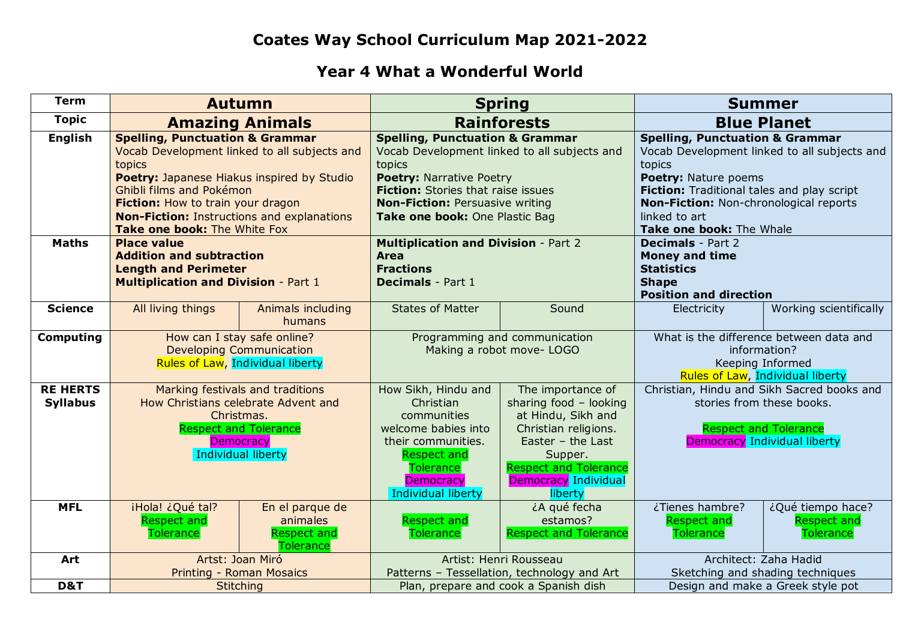## **Coates Way School Curriculum Map 2021-2022**

## **Year 4 What a Wonderful World**

| <b>Term</b>                        | <b>Autumn</b>                                                                                                                                                                                                                                                                                            |                                                                       | <b>Spring</b>                                                                                                                                                                                                                                             |                                                                                                                                                                                                       | <b>Summer</b>                                                                                                                                                                                                                                                     |                                                             |
|------------------------------------|----------------------------------------------------------------------------------------------------------------------------------------------------------------------------------------------------------------------------------------------------------------------------------------------------------|-----------------------------------------------------------------------|-----------------------------------------------------------------------------------------------------------------------------------------------------------------------------------------------------------------------------------------------------------|-------------------------------------------------------------------------------------------------------------------------------------------------------------------------------------------------------|-------------------------------------------------------------------------------------------------------------------------------------------------------------------------------------------------------------------------------------------------------------------|-------------------------------------------------------------|
| <b>Topic</b>                       | <b>Amazing Animals</b>                                                                                                                                                                                                                                                                                   |                                                                       | <b>Rainforests</b>                                                                                                                                                                                                                                        |                                                                                                                                                                                                       | <b>Blue Planet</b>                                                                                                                                                                                                                                                |                                                             |
| <b>English</b>                     | <b>Spelling, Punctuation &amp; Grammar</b><br>Vocab Development linked to all subjects and<br>topics<br>Poetry: Japanese Hiakus inspired by Studio<br>Ghibli films and Pokémon<br>Fiction: How to train your dragon<br><b>Non-Fiction: Instructions and explanations</b><br>Take one book: The White Fox |                                                                       | <b>Spelling, Punctuation &amp; Grammar</b><br>Vocab Development linked to all subjects and<br>topics<br><b>Poetry: Narrative Poetry</b><br>Fiction: Stories that raise issues<br><b>Non-Fiction: Persuasive writing</b><br>Take one book: One Plastic Bag |                                                                                                                                                                                                       | <b>Spelling, Punctuation &amp; Grammar</b><br>Vocab Development linked to all subjects and<br>topics<br>Poetry: Nature poems<br>Fiction: Traditional tales and play script<br>Non-Fiction: Non-chronological reports<br>linked to art<br>Take one book: The Whale |                                                             |
| <b>Maths</b>                       | <b>Place value</b><br><b>Addition and subtraction</b><br><b>Length and Perimeter</b><br><b>Multiplication and Division - Part 1</b>                                                                                                                                                                      |                                                                       | <b>Multiplication and Division - Part 2</b><br><b>Area</b><br><b>Fractions</b><br><b>Decimals</b> - Part 1                                                                                                                                                |                                                                                                                                                                                                       | <b>Decimals</b> - Part 2<br><b>Money and time</b><br><b>Statistics</b><br><b>Shape</b><br><b>Position and direction</b>                                                                                                                                           |                                                             |
| <b>Science</b>                     | All living things                                                                                                                                                                                                                                                                                        | Animals including<br>humans                                           | <b>States of Matter</b>                                                                                                                                                                                                                                   | Sound                                                                                                                                                                                                 | Electricity                                                                                                                                                                                                                                                       | Working scientifically                                      |
| <b>Computing</b>                   | How can I stay safe online?<br><b>Developing Communication</b><br>Rules of Law, Individual liberty                                                                                                                                                                                                       |                                                                       | Programming and communication<br>Making a robot move- LOGO                                                                                                                                                                                                |                                                                                                                                                                                                       | What is the difference between data and<br>information?<br>Keeping Informed<br>Rules of Law, Individual liberty                                                                                                                                                   |                                                             |
| <b>RE HERTS</b><br><b>Syllabus</b> | Marking festivals and traditions<br>How Christians celebrate Advent and<br>Christmas.<br><b>Respect and Tolerance</b><br><b>Democracy</b><br>Individual liberty                                                                                                                                          |                                                                       | How Sikh, Hindu and<br>Christian<br>communities<br>welcome babies into<br>their communities.<br><b>Respect and</b><br><b>Tolerance</b><br><b>Democracy</b><br>Individual liberty                                                                          | The importance of<br>sharing food - looking<br>at Hindu, Sikh and<br>Christian religions.<br>Easter $-$ the Last<br>Supper.<br><b>Respect and Tolerance</b><br><b>Democracy Individual</b><br>liberty | Christian, Hindu and Sikh Sacred books and<br>stories from these books.<br><b>Respect and Tolerance</b><br>Democracy Individual liberty                                                                                                                           |                                                             |
| <b>MFL</b>                         | iHola! ¿Qué tal?<br><b>Respect and</b><br><b>Tolerance</b>                                                                                                                                                                                                                                               | En el parque de<br>animales<br><b>Respect and</b><br><b>Tolerance</b> | <b>Respect and</b><br>Tolerance                                                                                                                                                                                                                           | ¿A qué fecha<br>estamos?<br><b>Respect and Tolerance</b>                                                                                                                                              | ¿Tienes hambre?<br><b>Respect and</b><br><b>Tolerance</b>                                                                                                                                                                                                         | ¿Qué tiempo hace?<br><b>Respect and</b><br><b>Tolerance</b> |
| Art                                | Artst: Joan Miró<br><b>Printing - Roman Mosaics</b>                                                                                                                                                                                                                                                      |                                                                       | Artist: Henri Rousseau<br>Patterns - Tessellation, technology and Art                                                                                                                                                                                     |                                                                                                                                                                                                       | Architect: Zaha Hadid<br>Sketching and shading techniques                                                                                                                                                                                                         |                                                             |
| D&T                                | <b>Stitching</b>                                                                                                                                                                                                                                                                                         |                                                                       | Plan, prepare and cook a Spanish dish                                                                                                                                                                                                                     |                                                                                                                                                                                                       | Design and make a Greek style pot                                                                                                                                                                                                                                 |                                                             |